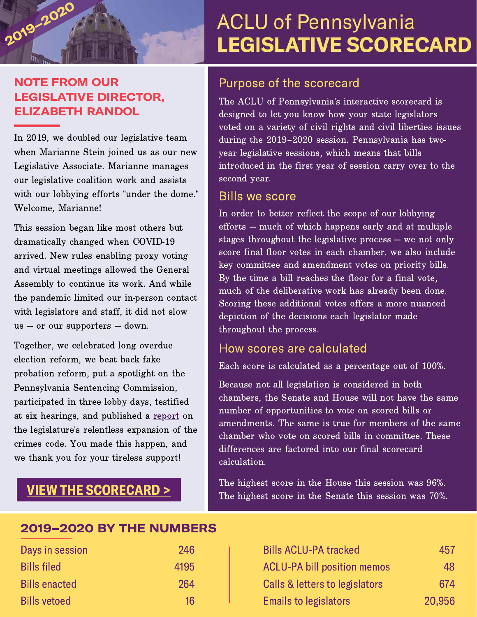

### NOTE FROM OUR LEGISLATIVE DIRECTOR, ELIZABETH RANDOL

In 2019, we doubled our legislative team when Marianne Stein joined us as our new Legislative Associate. Marianne manages our legislative coalition work and assists with our lobbying efforts "under the dome." Welcome, Marianne!

This session began like most others but dramatically changed when COVID-19 arrived. New rules enabling proxy voting and virtual meetings allowed the General Assembly to continue its work. And while the pandemic limited our in-person contact with legislators and staff, it did not slow us — or our supporters — down.

Together, we celebrated long overdue election reform, we beat back fake probation reform, put a spotlight on the Pennsylvania Sentencing Commission, participated in three lobby days, testified at six hearings, and published a [report](https://aclupa.org/sites/default/files/field_documents/more_law_less_justice_10.16.2019_read_this_version.pdf) on the legislature's relentless expansion of the crimes code. You made this happen, and we thank you for your tireless support!

## VIEW THE [SCORECARD](https://aclupalegislativescorecard.org/#/) >

# **ACLU of Pennsylvania LEGISLATIVE SCORECARD**

### Purpose of the scorecard

The ACLU of Pennsylvania's interactive scorecard is designed to let you know how your state legislators voted on a variety of civil rights and civil liberties issues during the 2019–2020 session. Pennsylvania has twoyear legislative sessions, which means that bills introduced in the first year of session carry over to the second year.

#### Bills we score

In order to better reflect the scope of our lobbying efforts — much of which happens early and at multiple stages throughout the legislative process — we not only score final floor votes in each chamber, we also include key committee and amendment votes on priority bills. By the time a bill reaches the floor for a final vote, much of the deliberative work has already been done. Scoring these additional votes offers a more nuanced depiction of the decisions each legislator made throughout the process.

### How scores are calculated

Each score is calculated as a percentage out of 100%.

Because not all legislation is considered in both chambers, the Senate and House will not have the same number of opportunities to vote on scored bills or amendments. The same is true for members of the same chamber who vote on scored bills in committee. These differences are factored into our final scorecard calculation.

The highest score in the House this session was 96%. The highest score in the Senate this session was 70%.

### 2019–2020 BY THE NUMBERS

| Days in session      | 246  | <b>Bills ACLU-PA tracked</b>       | 457    |
|----------------------|------|------------------------------------|--------|
| <b>Bills filed</b>   | 4195 | <b>ACLU-PA bill position memos</b> | 48     |
| <b>Bills enacted</b> | 264  | Calls & letters to legislators     | 674    |
| <b>Bills vetoed</b>  | 16   | <b>Emails to legislators</b>       | 20,956 |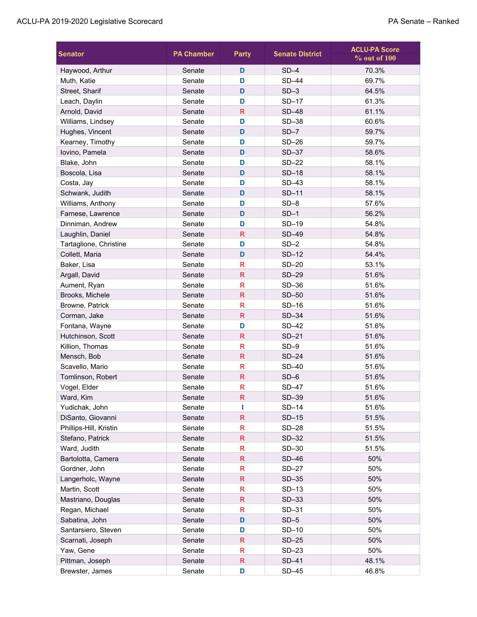| <b>Senator</b>         | <b>PA Chamber</b> | <b>Party</b>            | <b>Senate District</b> | <b>ACLU-PA Score</b><br>% out of 100 |
|------------------------|-------------------|-------------------------|------------------------|--------------------------------------|
| Haywood, Arthur        | Senate            | D                       | $SD-4$                 | 70.3%                                |
| Muth, Katie            | Senate            | D                       | SD-44                  | 69.7%                                |
| Street, Sharif         | Senate            | D                       | $SD-3$                 | 64.5%                                |
| Leach, Daylin          | Senate            | D                       | $SD-17$                | 61.3%                                |
| Arnold, David          | Senate            | R                       | SD-48                  | 61.1%                                |
| Williams, Lindsey      | Senate            | D                       | SD-38                  | 60.6%                                |
| Hughes, Vincent        | Senate            | D                       | $SD-7$                 | 59.7%                                |
| Kearney, Timothy       | Senate            | D                       | $SD-26$                | 59.7%                                |
| Iovino, Pamela         | Senate            | D                       | $SD-37$                | 58.6%                                |
| Blake, John            | Senate            | D                       | SD-22                  | 58.1%                                |
| Boscola, Lisa          | Senate            | D                       | $SD-18$                | 58.1%                                |
| Costa, Jay             | Senate            | D                       | $SD-43$                | 58.1%                                |
| Schwank, Judith        | Senate            | D                       | $SD-11$                | 58.1%                                |
| Williams, Anthony      | Senate            | D                       | $SD-8$                 | 57.6%                                |
| Farnese, Lawrence      | Senate            | D                       | $SD-1$                 | 56.2%                                |
| Dinniman, Andrew       | Senate            | D                       | SD-19                  | 54.8%                                |
| Laughlin, Daniel       | Senate            | R                       | SD-49                  | 54.8%                                |
| Tartaglione, Christine | Senate            | D                       | $SD-2$                 | 54.8%                                |
| Collett, Maria         | Senate            | D                       | $SD-12$                | 54.4%                                |
| Baker, Lisa            | Senate            | R                       | $SD-20$                | 53.1%                                |
| Argall, David          | Senate            | R                       | SD-29                  | 51.6%                                |
| Aument, Ryan           | Senate            | R                       | $SD-36$                | 51.6%                                |
| Brooks, Michele        | Senate            | R                       | SD-50                  | 51.6%                                |
| Browne, Patrick        | Senate            | R                       | $SD-16$                | 51.6%                                |
| Corman, Jake           | Senate            | R                       | $SD-34$                | 51.6%                                |
| Fontana, Wayne         | Senate            | D                       | SD-42                  | 51.6%                                |
| Hutchinson, Scott      | Senate            | $\overline{\mathsf{R}}$ | $SD-21$                | 51.6%                                |
| Killion, Thomas        | Senate            | R                       | $SD-9$                 | 51.6%                                |
| Mensch, Bob            | Senate            | R                       | $SD-24$                | 51.6%                                |
| Scavello, Mario        | Senate            | R                       | SD-40                  | 51.6%                                |
| Tomlinson, Robert      | Senate            | R                       | $SD-6$                 | 51.6%                                |
| Vogel, Elder           | Senate            | R                       | SD-47                  | 51.6%                                |
| Ward, Kim              | Senate            | R                       | SD-39                  | 51.6%                                |
| Yudichak, John         | Senate            | I                       | $SD-14$                | 51.6%                                |
| DiSanto, Giovanni      | Senate            | R                       | $SD-15$                | 51.5%                                |
| Phillips-Hill, Kristin | Senate            | R                       | $SD-28$                | 51.5%                                |
| Stefano, Patrick       | Senate            | R                       | $SD-32$                | 51.5%                                |
| Ward, Judith           | Senate            | R                       | SD-30                  | 51.5%                                |
| Bartolotta, Camera     | Senate            | R                       | $SD-46$                | 50%                                  |
| Gordner, John          | Senate            | R                       | $SD-27$                | 50%                                  |
| Langerholc, Wayne      | Senate            | R                       | $SD-35$                | 50%                                  |
| Martin, Scott          | Senate            | R                       | $SD-13$                | 50%                                  |
| Mastriano, Douglas     | Senate            | R                       | $SD-33$                | 50%                                  |
| Regan, Michael         | Senate            | R                       | SD-31                  | 50%                                  |
| Sabatina, John         | Senate            | D                       | $SD-5$                 | 50%                                  |
| Santarsiero, Steven    | Senate            | D                       | $SD-10$                | 50%                                  |
| Scarnati, Joseph       | Senate            | R                       | $SD-25$                | 50%                                  |
| Yaw, Gene              | Senate            | R                       | $SD-23$                | 50%                                  |
| Pittman, Joseph        | Senate            | R                       | SD-41                  | 48.1%                                |
| Brewster, James        | Senate            | D                       | $SD-45$                | 46.8%                                |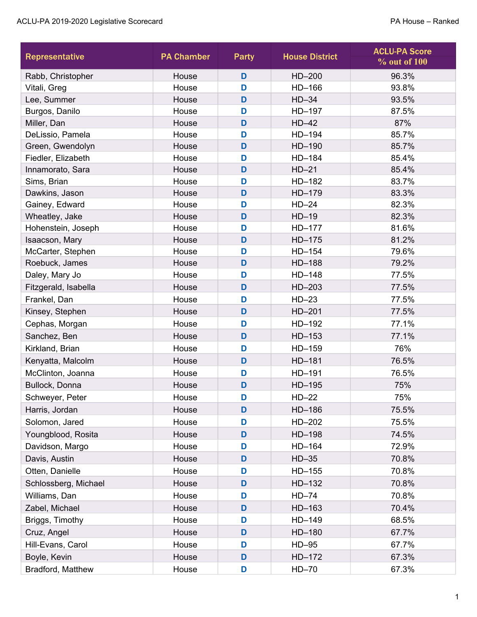| <b>Representative</b> | <b>PA Chamber</b> | Party | <b>House District</b> | <b>ACLU-PA Score</b><br>% out of 100 |
|-----------------------|-------------------|-------|-----------------------|--------------------------------------|
| Rabb, Christopher     | House             | D     | HD-200                | 96.3%                                |
| Vitali, Greg          | House             | D     | HD-166                | 93.8%                                |
| Lee, Summer           | House             | D     | $HD-34$               | 93.5%                                |
| Burgos, Danilo        | House             | D     | HD-197                | 87.5%                                |
| Miller, Dan           | House             | D     | $HD-42$               | 87%                                  |
| DeLissio, Pamela      | House             | D     | HD-194                | 85.7%                                |
| Green, Gwendolyn      | House             | D     | HD-190                | 85.7%                                |
| Fiedler, Elizabeth    | House             | D     | HD-184                | 85.4%                                |
| Innamorato, Sara      | House             | D     | $HD-21$               | 85.4%                                |
| Sims, Brian           | House             | D     | HD-182                | 83.7%                                |
| Dawkins, Jason        | House             | D     | HD-179                | 83.3%                                |
| Gainey, Edward        | House             | D     | $HD-24$               | 82.3%                                |
| Wheatley, Jake        | House             | D     | $HD-19$               | 82.3%                                |
| Hohenstein, Joseph    | House             | D     | HD-177                | 81.6%                                |
| Isaacson, Mary        | House             | D     | $HD-175$              | 81.2%                                |
| McCarter, Stephen     | House             | D     | $HD-154$              | 79.6%                                |
| Roebuck, James        | House             | D     | HD-188                | 79.2%                                |
| Daley, Mary Jo        | House             | D     | HD-148                | 77.5%                                |
| Fitzgerald, Isabella  | House             | D     | $HD-203$              | 77.5%                                |
| Frankel, Dan          | House             | D     | $HD-23$               | 77.5%                                |
| Kinsey, Stephen       | House             | D     | HD-201                | 77.5%                                |
| Cephas, Morgan        | House             | D     | HD-192                | 77.1%                                |
| Sanchez, Ben          | House             | D     | $HD-153$              | 77.1%                                |
| Kirkland, Brian       | House             | D     | HD-159                | 76%                                  |
| Kenyatta, Malcolm     | House             | D     | HD-181                | 76.5%                                |
| McClinton, Joanna     | House             | D     | HD-191                | 76.5%                                |
| Bullock, Donna        | House             | D     | HD-195                | 75%                                  |
| Schweyer, Peter       | House             | D     | $HD-22$               | 75%                                  |
| Harris, Jordan        | House             | D     | HD-186                | 75.5%                                |
| Solomon, Jared        | House             | D     | HD-202                | 75.5%                                |
| Youngblood, Rosita    | House             | D     | HD-198                | 74.5%                                |
| Davidson, Margo       | House             | D     | HD-164                | 72.9%                                |
| Davis, Austin         | House             | D     | $HD-35$               | 70.8%                                |
| Otten, Danielle       | House             | D     | $HD-155$              | 70.8%                                |
| Schlossberg, Michael  | House             | D     | $HD-132$              | 70.8%                                |
| Williams, Dan         | House             | D     | $HD-74$               | 70.8%                                |
| Zabel, Michael        | House             | D     | HD-163                | 70.4%                                |
| Briggs, Timothy       | House             | D     | HD-149                | 68.5%                                |
| Cruz, Angel           | House             | D     | HD-180                | 67.7%                                |
| Hill-Evans, Carol     | House             | D     | $HD-95$               | 67.7%                                |
| Boyle, Kevin          | House             | D     | HD-172                | 67.3%                                |
| Bradford, Matthew     | House             | D     | $HD-70$               | 67.3%                                |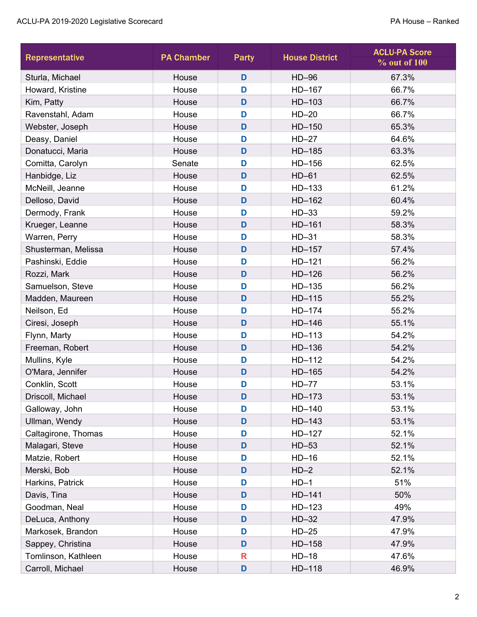| Representative      | <b>PA Chamber</b> | Party | <b>House District</b> | <b>ACLU-PA Score</b><br>% out of 100 |
|---------------------|-------------------|-------|-----------------------|--------------------------------------|
| Sturla, Michael     | House             | D     | $HD-96$               | 67.3%                                |
| Howard, Kristine    | House             | D     | HD-167                | 66.7%                                |
| Kim, Patty          | House             | D     | HD-103                | 66.7%                                |
| Ravenstahl, Adam    | House             | D     | $HD-20$               | 66.7%                                |
| Webster, Joseph     | House             | D     | $HD-150$              | 65.3%                                |
| Deasy, Daniel       | House             | D     | $HD-27$               | 64.6%                                |
| Donatucci, Maria    | House             | D     | HD-185                | 63.3%                                |
| Comitta, Carolyn    | Senate            | D     | HD-156                | 62.5%                                |
| Hanbidge, Liz       | House             | D     | $HD-61$               | 62.5%                                |
| McNeill, Jeanne     | House             | D     | HD-133                | 61.2%                                |
| Delloso, David      | House             | D     | HD-162                | 60.4%                                |
| Dermody, Frank      | House             | D     | $HD-33$               | 59.2%                                |
| Krueger, Leanne     | House             | D     | $HD-161$              | 58.3%                                |
| Warren, Perry       | House             | D     | $HD-31$               | 58.3%                                |
| Shusterman, Melissa | House             | D     | HD-157                | 57.4%                                |
| Pashinski, Eddie    | House             | D     | $HD-121$              | 56.2%                                |
| Rozzi, Mark         | House             | D     | $HD-126$              | 56.2%                                |
| Samuelson, Steve    | House             | D     | $HD-135$              | 56.2%                                |
| Madden, Maureen     | House             | D     | $HD-115$              | 55.2%                                |
| Neilson, Ed         | House             | D     | HD-174                | 55.2%                                |
| Ciresi, Joseph      | House             | D     | $HD-146$              | 55.1%                                |
| Flynn, Marty        | House             | D     | $HD-113$              | 54.2%                                |
| Freeman, Robert     | House             | D     | HD-136                | 54.2%                                |
| Mullins, Kyle       | House             | D     | $HD-112$              | 54.2%                                |
| O'Mara, Jennifer    | House             | D     | HD-165                | 54.2%                                |
| Conklin, Scott      | House             | D     | $HD-77$               | 53.1%                                |
| Driscoll, Michael   | House             | D     | HD-173                | 53.1%                                |
| Galloway, John      | House             | D     | HD-140                | 53.1%                                |
| Ullman, Wendy       | House             | D     | $HD-143$              | 53.1%                                |
| Caltagirone, Thomas | House             | D     | HD-127                | 52.1%                                |
| Malagari, Steve     | House             | D     | $HD-53$               | 52.1%                                |
| Matzie, Robert      | House             | D     | $HD-16$               | 52.1%                                |
| Merski, Bob         | House             | D     | $HD-2$                | 52.1%                                |
| Harkins, Patrick    | House             | D     | $HD-1$                | 51%                                  |
| Davis, Tina         | House             | D     | $HD-141$              | 50%                                  |
| Goodman, Neal       | House             | D     | $HD-123$              | 49%                                  |
| DeLuca, Anthony     | House             | D     | $HD-32$               | 47.9%                                |
| Markosek, Brandon   | House             | D     | $HD-25$               | 47.9%                                |
| Sappey, Christina   | House             | D     | HD-158                | 47.9%                                |
| Tomlinson, Kathleen | House             | R     | $HD-18$               | 47.6%                                |
| Carroll, Michael    | House             | D     | HD-118                | 46.9%                                |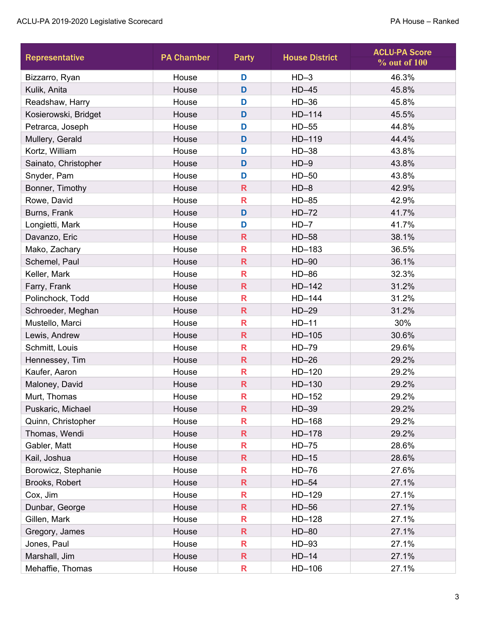| Representative       | <b>PA Chamber</b> | Party                   | <b>House District</b> | <b>ACLU-PA Score</b><br>$%$ out of $100$ |
|----------------------|-------------------|-------------------------|-----------------------|------------------------------------------|
| Bizzarro, Ryan       | House             | D                       | $HD-3$                | 46.3%                                    |
| Kulik, Anita         | House             | D                       | $HD-45$               | 45.8%                                    |
| Readshaw, Harry      | House             | D                       | $HD-36$               | 45.8%                                    |
| Kosierowski, Bridget | House             | D                       | HD-114                | 45.5%                                    |
| Petrarca, Joseph     | House             | D                       | $HD-55$               | 44.8%                                    |
| Mullery, Gerald      | House             | D                       | HD-119                | 44.4%                                    |
| Kortz, William       | House             | D                       | $HD-38$               | 43.8%                                    |
| Sainato, Christopher | House             | D                       | $HD-9$                | 43.8%                                    |
| Snyder, Pam          | House             | D                       | $HD-50$               | 43.8%                                    |
| Bonner, Timothy      | House             | $\mathsf{R}$            | $HD-8$                | 42.9%                                    |
| Rowe, David          | House             | R                       | $HD-85$               | 42.9%                                    |
| Burns, Frank         | House             | D                       | $HD-72$               | 41.7%                                    |
| Longietti, Mark      | House             | D                       | $HD-7$                | 41.7%                                    |
| Davanzo, Eric        | House             | $\overline{\mathsf{R}}$ | $HD-58$               | 38.1%                                    |
| Mako, Zachary        | House             | R                       | HD-183                | 36.5%                                    |
| Schemel, Paul        | House             | R                       | $HD-90$               | 36.1%                                    |
| Keller, Mark         | House             | R                       | HD-86                 | 32.3%                                    |
| Farry, Frank         | House             | $\mathsf{R}$            | $HD-142$              | 31.2%                                    |
| Polinchock, Todd     | House             | R                       | $HD-144$              | 31.2%                                    |
| Schroeder, Meghan    | House             | $\overline{\mathsf{R}}$ | $HD-29$               | 31.2%                                    |
| Mustello, Marci      | House             | R                       | $HD-11$               | 30%                                      |
| Lewis, Andrew        | House             | $\overline{\mathsf{R}}$ | $HD-105$              | 30.6%                                    |
| Schmitt, Louis       | House             | R                       | HD-79                 | 29.6%                                    |
| Hennessey, Tim       | House             | R                       | $HD-26$               | 29.2%                                    |
| Kaufer, Aaron        | House             | R                       | $HD-120$              | 29.2%                                    |
| Maloney, David       | House             | $\overline{\mathsf{R}}$ | HD-130                | 29.2%                                    |
| Murt, Thomas         | House             | R                       | HD-152                | 29.2%                                    |
| Puskaric, Michael    | House             | $\overline{\mathsf{R}}$ | $HD-39$               | 29.2%                                    |
| Quinn, Christopher   | House             | R                       | HD-168                | 29.2%                                    |
| Thomas, Wendi        | House             | $\overline{\mathsf{R}}$ | HD-178                | 29.2%                                    |
| Gabler, Matt         | House             | R                       | $HD-75$               | 28.6%                                    |
| Kail, Joshua         | House             | R                       | $HD-15$               | 28.6%                                    |
| Borowicz, Stephanie  | House             | R                       | $HD-76$               | 27.6%                                    |
| Brooks, Robert       | House             | R                       | $HD-54$               | 27.1%                                    |
| Cox, Jim             | House             | R                       | HD-129                | 27.1%                                    |
| Dunbar, George       | House             | $\overline{\mathsf{R}}$ | $HD-56$               | 27.1%                                    |
| Gillen, Mark         | House             | R                       | $HD-128$              | 27.1%                                    |
| Gregory, James       | House             | R                       | HD-80                 | 27.1%                                    |
| Jones, Paul          | House             | R                       | $HD-93$               | 27.1%                                    |
| Marshall, Jim        | House             | R                       | $HD-14$               | 27.1%                                    |
| Mehaffie, Thomas     | House             | R                       | HD-106                | 27.1%                                    |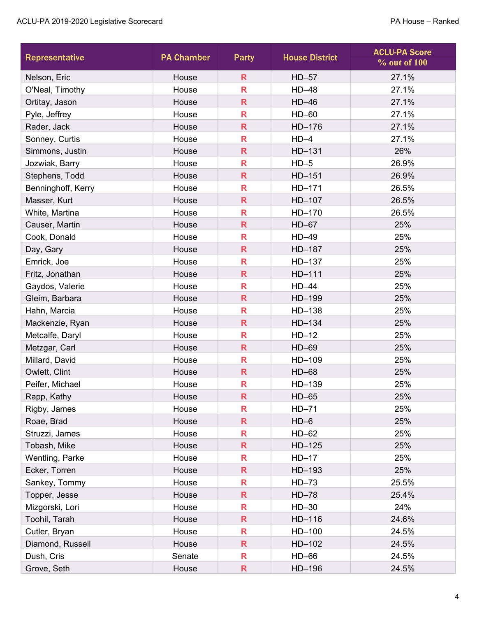| <b>Representative</b> | <b>PA Chamber</b> | Party                   | <b>House District</b> | <b>ACLU-PA Score</b><br>% out of 100 |
|-----------------------|-------------------|-------------------------|-----------------------|--------------------------------------|
| Nelson, Eric          | House             | $\overline{\mathsf{R}}$ | $HD-57$               | 27.1%                                |
| O'Neal, Timothy       | House             | $\overline{\mathsf{R}}$ | $HD-48$               | 27.1%                                |
| Ortitay, Jason        | House             | $\overline{\mathsf{R}}$ | $HD-46$               | 27.1%                                |
| Pyle, Jeffrey         | House             | R                       | $HD-60$               | 27.1%                                |
| Rader, Jack           | House             | $\overline{\mathsf{R}}$ | HD-176                | 27.1%                                |
| Sonney, Curtis        | House             | R                       | $HD-4$                | 27.1%                                |
| Simmons, Justin       | House             | $\overline{\mathsf{R}}$ | $HD-131$              | 26%                                  |
| Jozwiak, Barry        | House             | R                       | $HD-5$                | 26.9%                                |
| Stephens, Todd        | House             | $\overline{\mathsf{R}}$ | $HD-151$              | 26.9%                                |
| Benninghoff, Kerry    | House             | $\overline{\mathsf{R}}$ | HD-171                | 26.5%                                |
| Masser, Kurt          | House             | R                       | HD-107                | 26.5%                                |
| White, Martina        | House             | R                       | HD-170                | 26.5%                                |
| Causer, Martin        | House             | $\overline{\mathsf{R}}$ | $HD-67$               | 25%                                  |
| Cook, Donald          | House             | $\overline{\mathsf{R}}$ | HD-49                 | 25%                                  |
| Day, Gary             | House             | R                       | HD-187                | 25%                                  |
| Emrick, Joe           | House             | R                       | HD-137                | 25%                                  |
| Fritz, Jonathan       | House             | $\overline{\mathsf{R}}$ | HD-111                | 25%                                  |
| Gaydos, Valerie       | House             | $\overline{\mathsf{R}}$ | $HD-44$               | 25%                                  |
| Gleim, Barbara        | House             | $\overline{\mathsf{R}}$ | HD-199                | 25%                                  |
| Hahn, Marcia          | House             | R                       | HD-138                | 25%                                  |
| Mackenzie, Ryan       | House             | $\overline{\mathsf{R}}$ | $HD-134$              | 25%                                  |
| Metcalfe, Daryl       | House             | R                       | $HD-12$               | 25%                                  |
| Metzgar, Carl         | House             | $\overline{\mathsf{R}}$ | $HD-69$               | 25%                                  |
| Millard, David        | House             | R                       | HD-109                | 25%                                  |
| Owlett, Clint         | House             | R                       | HD-68                 | 25%                                  |
| Peifer, Michael       | House             | R                       | HD-139                | 25%                                  |
| Rapp, Kathy           | House             | R                       | $HD-65$               | 25%                                  |
| Rigby, James          | House             | R                       | $HD-71$               | 25%                                  |
| Roae, Brad            | House             | $\mathsf{R}$            | $HD-6$                | 25%                                  |
| Struzzi, James        | House             | R                       | $HD-62$               | 25%                                  |
| Tobash, Mike          | House             | R                       | $HD-125$              | 25%                                  |
| Wentling, Parke       | House             | R                       | $HD-17$               | 25%                                  |
| Ecker, Torren         | House             | R                       | HD-193                | 25%                                  |
| Sankey, Tommy         | House             | R                       | $HD-73$               | 25.5%                                |
| Topper, Jesse         | House             | R.                      | $HD-78$               | 25.4%                                |
| Mizgorski, Lori       | House             | R                       | $HD-30$               | 24%                                  |
| Toohil, Tarah         | House             | $\overline{\mathsf{R}}$ | $HD-116$              | 24.6%                                |
| Cutler, Bryan         | House             | R                       | HD-100                | 24.5%                                |
| Diamond, Russell      | House             | $\overline{\mathsf{R}}$ | $HD-102$              | 24.5%                                |
| Dush, Cris            | Senate            | R                       | HD-66                 | 24.5%                                |
| Grove, Seth           | House             | R                       | HD-196                | 24.5%                                |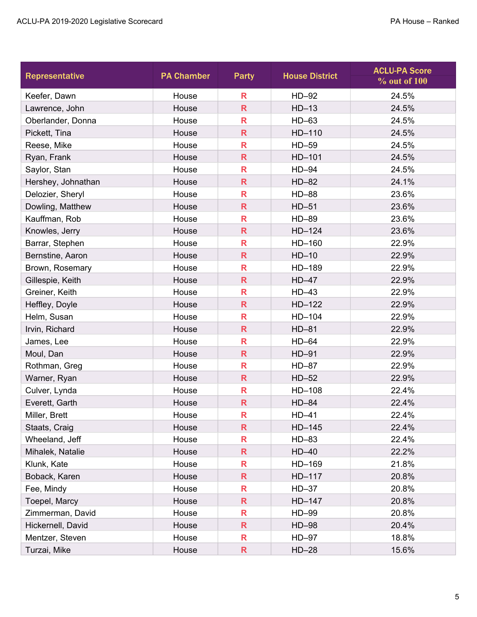| <b>Representative</b> | <b>PA Chamber</b> | Party                   | <b>House District</b> | <b>ACLU-PA Score</b><br>% out of 100 |
|-----------------------|-------------------|-------------------------|-----------------------|--------------------------------------|
| Keefer, Dawn          | House             | R                       | HD-92                 | 24.5%                                |
| Lawrence, John        | House             | $\overline{\mathsf{R}}$ | $HD-13$               | 24.5%                                |
| Oberlander, Donna     | House             | $\mathbf R$             | $HD-63$               | 24.5%                                |
| Pickett, Tina         | House             | R                       | HD-110                | 24.5%                                |
| Reese, Mike           | House             | R                       | HD-59                 | 24.5%                                |
| Ryan, Frank           | House             | $\mathbf R$             | HD-101                | 24.5%                                |
| Saylor, Stan          | House             | R                       | $HD-94$               | 24.5%                                |
| Hershey, Johnathan    | House             | $\mathsf{R}$            | $HD-82$               | 24.1%                                |
| Delozier, Sheryl      | House             | R                       | <b>HD-88</b>          | 23.6%                                |
| Dowling, Matthew      | House             | $\mathsf{R}$            | $HD-51$               | 23.6%                                |
| Kauffman, Rob         | House             | R                       | HD-89                 | 23.6%                                |
| Knowles, Jerry        | House             | $\mathsf{R}$            | $HD-124$              | 23.6%                                |
| Barrar, Stephen       | House             | $\mathbf R$             | HD-160                | 22.9%                                |
| Bernstine, Aaron      | House             | $\mathbf R$             | $HD-10$               | 22.9%                                |
| Brown, Rosemary       | House             | R                       | HD-189                | 22.9%                                |
| Gillespie, Keith      | House             | $\mathbf R$             | $HD-47$               | 22.9%                                |
| Greiner, Keith        | House             | R                       | $HD-43$               | 22.9%                                |
| Heffley, Doyle        | House             | $\overline{\mathsf{R}}$ | $HD-122$              | 22.9%                                |
| Helm, Susan           | House             | $\mathbf R$             | $HD-104$              | 22.9%                                |
| Irvin, Richard        | House             | R                       | $HD-81$               | 22.9%                                |
| James, Lee            | House             | $\mathbf R$             | $HD-64$               | 22.9%                                |
| Moul, Dan             | House             | $\mathsf{R}$            | $HD-91$               | 22.9%                                |
| Rothman, Greg         | House             | R                       | $HD-87$               | 22.9%                                |
| Warner, Ryan          | House             | $\mathbf R$             | $HD-52$               | 22.9%                                |
| Culver, Lynda         | House             | R                       | HD-108                | 22.4%                                |
| Everett, Garth        | House             | $\overline{\mathsf{R}}$ | $HD-84$               | 22.4%                                |
| Miller, Brett         | House             | R                       | $HD-41$               | 22.4%                                |
| Staats, Craig         | House             | R                       | $HD-145$              | 22.4%                                |
| Wheeland, Jeff        | House             | R                       | $HD-83$               | 22.4%                                |
| Mihalek, Natalie      | House             | $\mathsf{R}$            | $HD-40$               | 22.2%                                |
| Klunk, Kate           | House             | R                       | HD-169                | 21.8%                                |
| Boback, Karen         | House             | $\mathsf{R}$            | HD-117                | 20.8%                                |
| Fee, Mindy            | House             | R                       | $HD-37$               | 20.8%                                |
| Toepel, Marcy         | House             | R                       | HD-147                | 20.8%                                |
| Zimmerman, David      | House             | R                       | HD-99                 | 20.8%                                |
| Hickernell, David     | House             | R                       | HD-98                 | 20.4%                                |
| Mentzer, Steven       | House             | R                       | $HD-97$               | 18.8%                                |
| Turzai, Mike          | House             | R                       | $HD-28$               | 15.6%                                |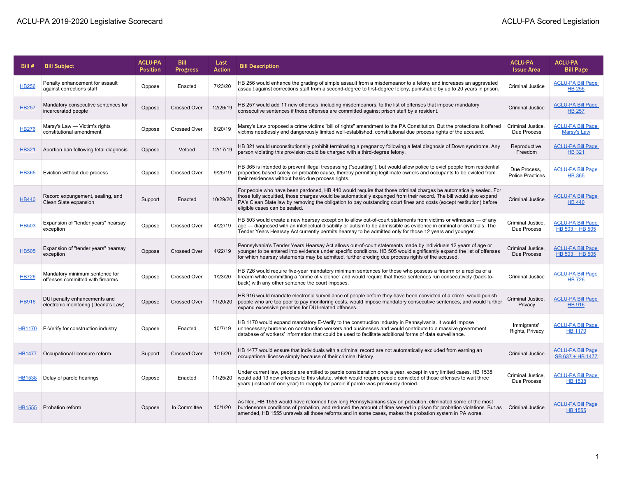| Bill#         | <b>Bill Subject</b>                                                 | <b>ACLU-PA</b><br><b>Position</b> | <b>Bill</b><br><b>Progress</b> | Last<br><b>Action</b> | <b>Bill Description</b>                                                                                                                                                                                                                                                                                                                                                                         | <b>ACLU-PA</b><br><b>Issue Area</b>     | <b>ACLU-PA</b><br><b>Bill Page</b>           |
|---------------|---------------------------------------------------------------------|-----------------------------------|--------------------------------|-----------------------|-------------------------------------------------------------------------------------------------------------------------------------------------------------------------------------------------------------------------------------------------------------------------------------------------------------------------------------------------------------------------------------------------|-----------------------------------------|----------------------------------------------|
| <b>HB256</b>  | Penalty enhancement for assault<br>against corrections staff        | Oppose                            | Enacted                        | 7/23/20               | HB 256 would enhance the grading of simple assault from a misdemeanor to a felony and increases an aggravated<br>assault against corrections staff from a second-degree to first-degree felony, punishable by up to 20 years in prison.                                                                                                                                                         | <b>Criminal Justice</b>                 | <b>ACLU-PA Bill Page</b><br><b>HB 256</b>    |
| <b>HB257</b>  | Mandatory consecutive sentences for<br>incarcerated people          | Oppose                            | <b>Crossed Over</b>            | 12/26/19              | HB 257 would add 11 new offenses, including misdemeanors, to the list of offenses that impose mandatory<br>consecutive sentences if those offenses are committed against prison staff by a resident.                                                                                                                                                                                            | <b>Criminal Justice</b>                 | <b>ACLU-PA Bill Page</b><br><b>HB 257</b>    |
| <b>HB276</b>  | Marsy's Law - Victim's rights<br>constitutional amendment           | Oppose                            | <b>Crossed Over</b>            | 6/20/19               | Marsy's Law proposed a crime victims "bill of rights" amendment to the PA Constitution. But the protections it offered<br>victims needlessly and dangerously limited well-established, constitutional due process rights of the accused.                                                                                                                                                        | Criminal Justice.<br>Due Process        | <b>ACLU-PA Bill Page</b><br>Marsy's Law      |
| <b>HB321</b>  | Abortion ban following fetal diagnosis                              | Oppose                            | Vetoed                         | 12/17/19              | HB 321 would unconstitutionally prohibit terminating a pregnancy following a fetal diagnosis of Down syndrome. Any<br>person violating this provision could be charged with a third-degree felony.                                                                                                                                                                                              | Reproductive<br>Freedom                 | <b>ACLU-PA Bill Page</b><br><b>HB 321</b>    |
| <b>HB365</b>  | Eviction without due process                                        | Oppose                            | <b>Crossed Over</b>            | 9/25/19               | HB 365 is intended to prevent illegal trespassing ("squatting"), but would allow police to evict people from residential<br>properties based solely on probable cause, thereby permitting legitimate owners and occupants to be evicted from<br>their residences without basic due process rights.                                                                                              | Due Process,<br><b>Police Practices</b> | <b>ACLU-PA Bill Page</b><br><b>HB 365</b>    |
| <b>HB440</b>  | Record expungement, sealing, and<br>Clean Slate expansion           | Support                           | Enacted                        | 10/29/20              | For people who have been pardoned, HB 440 would require that those criminal charges be automatically sealed. For<br>those fully acquitted, those charges would be automatically expunged from their record. The bill would also expand<br>PA's Clean Slate law by removing the obligation to pay outstanding court fines and costs (except restitution) before<br>eligible cases can be sealed. | <b>Criminal Justice</b>                 | <b>ACLU-PA Bill Page</b><br><b>HB 440</b>    |
| <b>HB503</b>  | Expansion of "tender years" hearsay<br>exception                    | Oppose                            | <b>Crossed Over</b>            | 4/22/19               | HB 503 would create a new hearsay exception to allow out-of-court statements from victims or witnesses — of any<br>age - diagnosed with an intellectual disability or autism to be admissible as evidence in criminal or civil trials. The<br>Tender Years Hearsay Act currently permits hearsay to be admitted only for those 12 years and younger.                                            | Criminal Justice,<br>Due Process        | <b>ACLU-PA Bill Page</b><br>HB 503 + HB 505  |
| <b>HB505</b>  | Expansion of "tender years" hearsay<br>exception                    | Oppose                            | <b>Crossed Over</b>            | 4/22/19               | Pennsylvania's Tender Years Hearsay Act allows out-of-court statements made by individuals 12 years of age or<br>younger to be entered into evidence under specific conditions. HB 505 would significantly expand the list of offenses<br>for which hearsay statements may be admitted, further eroding due process rights of the accused.                                                      | Criminal Justice.<br>Due Process        | <b>ACLU-PA Bill Page</b><br>HB 503 + HB 505  |
| <b>HB726</b>  | Mandatory minimum sentence for<br>offenses committed with firearms  | Oppose                            | <b>Crossed Over</b>            | 1/23/20               | HB 726 would require five-year mandatory minimum sentences for those who possess a firearm or a replica of a<br>firearm while committing a "crime of violence" and would require that these sentences run consecutively (back-to-<br>back) with any other sentence the court imposes.                                                                                                           | Criminal Justice                        | <b>ACLU-PA Bill Page</b><br><b>HB 726</b>    |
| <b>HB916</b>  | DUI penalty enhancements and<br>electronic monitoring (Deana's Law) | Oppose                            | <b>Crossed Over</b>            | 11/20/20              | HB 916 would mandate electronic surveillance of people before they have been convicted of a crime, would punish<br>people who are too poor to pay monitoring costs, would impose mandatory consecutive sentences, and would further<br>expand excessive penalties for DUI-related offenses.                                                                                                     | Criminal Justice,<br>Privacy            | <b>ACLU-PA Bill Page</b><br><b>HB 916</b>    |
| <b>HB1170</b> | E-Verify for construction industry                                  | Oppose                            | Enacted                        | 10/7/19               | HB 1170 would expand mandatory E-Verify to the construction industry in Pennsylvania. It would impose<br>unnecessary burdens on construction workers and businesses and would contribute to a massive government<br>database of workers' information that could be used to facilitate additional forms of data surveillance.                                                                    | Immigrants'<br>Rights, Privacy          | <b>ACLU-PA Bill Page</b><br><b>HB 1170</b>   |
| <b>HB1477</b> | Occupational licensure reform                                       | Support                           | <b>Crossed Over</b>            | 1/15/20               | HB 1477 would ensure that individuals with a criminal record are not automatically excluded from earning an<br>occupational license simply because of their criminal history.                                                                                                                                                                                                                   | <b>Criminal Justice</b>                 | <b>ACLU-PA Bill Page</b><br>SB 637 + HB 1477 |
| <b>HB1538</b> | Delay of parole hearings                                            | Oppose                            | Enacted                        | 11/25/20              | Under current law, people are entitled to parole consideration once a year, except in very limited cases. HB 1538<br>would add 13 new offenses to this statute, which would require people convicted of those offenses to wait three<br>years (instead of one year) to reapply for parole if parole was previously denied.                                                                      | Criminal Justice,<br>Due Process        | <b>ACLU-PA Bill Page</b><br><b>HB 1538</b>   |
| <b>HB1555</b> | Probation reform                                                    | Oppose                            | In Committee                   | 10/1/20               | As filed, HB 1555 would have reformed how long Pennsylvanians stay on probation, eliminated some of the most<br>burdensome conditions of probation, and reduced the amount of time served in prison for probation violations. But as<br>amended, HB 1555 unravels all those reforms and in some cases, makes the probation system in PA worse.                                                  | <b>Criminal Justice</b>                 | <b>ACLU-PA Bill Page</b><br><b>HB 1555</b>   |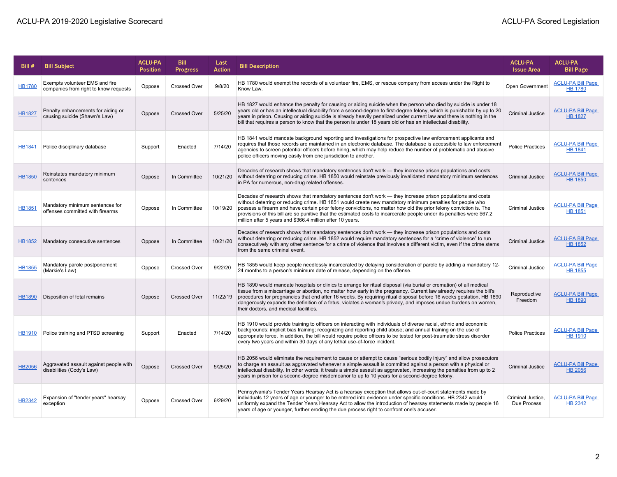| Bill#         | <b>Bill Subject</b>                                                     | <b>ACLU-PA</b><br><b>Position</b> | <b>Bill</b><br><b>Progress</b> | Last<br><b>Action</b> | <b>Bill Description</b>                                                                                                                                                                                                                                                                                                                                                                                                                                                                                                             | <b>ACLU-PA</b><br><b>Issue Area</b> | <b>ACLU-PA</b><br><b>Bill Page</b>         |
|---------------|-------------------------------------------------------------------------|-----------------------------------|--------------------------------|-----------------------|-------------------------------------------------------------------------------------------------------------------------------------------------------------------------------------------------------------------------------------------------------------------------------------------------------------------------------------------------------------------------------------------------------------------------------------------------------------------------------------------------------------------------------------|-------------------------------------|--------------------------------------------|
| <b>HB1780</b> | Exempts volunteer EMS and fire<br>companies from right to know requests | Oppose                            | <b>Crossed Over</b>            | 9/8/20                | HB 1780 would exempt the records of a volunteer fire, EMS, or rescue company from access under the Right to<br>Know Law.                                                                                                                                                                                                                                                                                                                                                                                                            | Open Government                     | <b>ACLU-PA Bill Page</b><br><b>HB 1780</b> |
| <b>HB1827</b> | Penalty enhancements for aiding or<br>causing suicide (Shawn's Law)     | Oppose                            | <b>Crossed Over</b>            | 5/25/20               | HB 1827 would enhance the penalty for causing or aiding suicide when the person who died by suicide is under 18<br>years old or has an intellectual disability from a second-degree to first-degree felony, which is punishable by up to 20<br>years in prison. Causing or aiding suicide is already heavily penalized under current law and there is nothing in the<br>bill that requires a person to know that the person is under 18 years old or has an intellectual disability.                                                | <b>Criminal Justice</b>             | <b>ACLU-PA Bill Page</b><br><b>HB 1827</b> |
| <b>HB1841</b> | Police disciplinary database                                            | Support                           | Enacted                        | 7/14/20               | HB 1841 would mandate background reporting and investigations for prospective law enforcement applicants and<br>requires that those records are maintained in an electronic database. The database is accessible to law enforcement<br>agencies to screen potential officers before hiring, which may help reduce the number of problematic and abusive<br>police officers moving easily from one jurisdiction to another.                                                                                                          | <b>Police Practices</b>             | <b>ACLU-PA Bill Page</b><br><b>HB 1841</b> |
| <b>HB1850</b> | Reinstates mandatory minimum<br>sentences                               | Oppose                            | In Committee                   | 10/21/20              | Decades of research shows that mandatory sentences don't work — they increase prison populations and costs<br>without deterring or reducing crime. HB 1850 would reinstate previously invalidated mandatory minimum sentences<br>in PA for numerous, non-drug related offenses.                                                                                                                                                                                                                                                     | <b>Criminal Justice</b>             | <b>ACLU-PA Bill Page</b><br><b>HB 1850</b> |
| <b>HB1851</b> | Mandatory minimum sentences for<br>offenses committed with firearms     | Oppose                            | In Committee                   | 10/19/20              | Decades of research shows that mandatory sentences don't work - they increase prison populations and costs<br>without deterring or reducing crime. HB 1851 would create new mandatory minimum penalties for people who<br>possess a firearm and have certain prior felony convictions, no matter how old the prior felony conviction is. The<br>provisions of this bill are so punitive that the estimated costs to incarcerate people under its penalties were \$67.2<br>million after 5 years and \$366.4 million after 10 years. | <b>Criminal Justice</b>             | <b>ACLU-PA Bill Page</b><br><b>HB 1851</b> |
| <b>HB1852</b> | Mandatory consecutive sentences                                         | Oppose                            | In Committee                   | 10/21/20              | Decades of research shows that mandatory sentences don't work — they increase prison populations and costs<br>without deterring or reducing crime. HB 1852 would require mandatory sentences for a "crime of violence" to run<br>consecutively with any other sentence for a crime of violence that involves a different victim, even if the crime stems<br>from the same criminal event.                                                                                                                                           | <b>Criminal Justice</b>             | <b>ACLU-PA Bill Page</b><br><b>HB 1852</b> |
| <b>HB1855</b> | Mandatory parole postponement<br>(Markie's Law)                         | Oppose                            | <b>Crossed Over</b>            | 9/22/20               | HB 1855 would keep people needlessly incarcerated by delaying consideration of parole by adding a mandatory 12-<br>24 months to a person's minimum date of release, depending on the offense.                                                                                                                                                                                                                                                                                                                                       | <b>Criminal Justice</b>             | <b>ACLU-PA Bill Page</b><br><b>HB 1855</b> |
| <b>HB1890</b> | Disposition of fetal remains                                            | Oppose                            | <b>Crossed Over</b>            | 11/22/19              | HB 1890 would mandate hospitals or clinics to arrange for ritual disposal (via burial or cremation) of all medical<br>tissue from a miscarriage or abortion, no matter how early in the pregnancy. Current law already requires the bill's<br>procedures for pregnancies that end after 16 weeks. By requiring ritual disposal before 16 weeks gestation, HB 1890<br>dangerously expands the definition of a fetus, violates a woman's privacy, and imposes undue burdens on women,<br>their doctors, and medical facilities.       | Reproductive<br>Freedom             | <b>ACLU-PA Bill Page</b><br><b>HB 1890</b> |
| <b>HB1910</b> | Police training and PTSD screening                                      | Support                           | Enacted                        | 7/14/20               | HB 1910 would provide training to officers on interacting with individuals of diverse racial, ethnic and economic<br>backgrounds; implicit bias training; recognizing and reporting child abuse; and annual training on the use of<br>appropriate force. In addition, the bill would require police officers to be tested for post-traumatic stress disorder<br>every two years and within 30 days of any lethal use-of-force incident.                                                                                             | <b>Police Practices</b>             | <b>ACLU-PA Bill Page</b><br><b>HB 1910</b> |
| <b>HB2056</b> | Aggravated assault against people with<br>disabilities (Cody's Law)     | Oppose                            | <b>Crossed Over</b>            | 5/25/20               | HB 2056 would eliminate the requirement to cause or attempt to cause "serious bodily injury" and allow prosecutors<br>to charge an assault as aggravated whenever a simple assault is committed against a person with a physical or<br>intellectual disability. In other words, it treats a simple assault as aggravated, increasing the penalties from up to 2<br>years in prison for a second-degree misdemeanor to up to 10 years for a second-degree felony.                                                                    | <b>Criminal Justice</b>             | <b>ACLU-PA Bill Page</b><br><b>HB 2056</b> |
| <b>HB2342</b> | Expansion of "tender years" hearsay<br>exception                        | Oppose                            | <b>Crossed Over</b>            | 6/29/20               | Pennsylvania's Tender Years Hearsay Act is a hearsay exception that allows out-of-court statements made by<br>individuals 12 years of age or younger to be entered into evidence under specific conditions. HB 2342 would<br>uniformly expand the Tender Years Hearsay Act to allow the introduction of hearsay statements made by people 16<br>years of age or younger, further eroding the due process right to confront one's accuser.                                                                                           | Criminal Justice,<br>Due Process    | <b>ACLU-PA Bill Page</b><br><b>HB 2342</b> |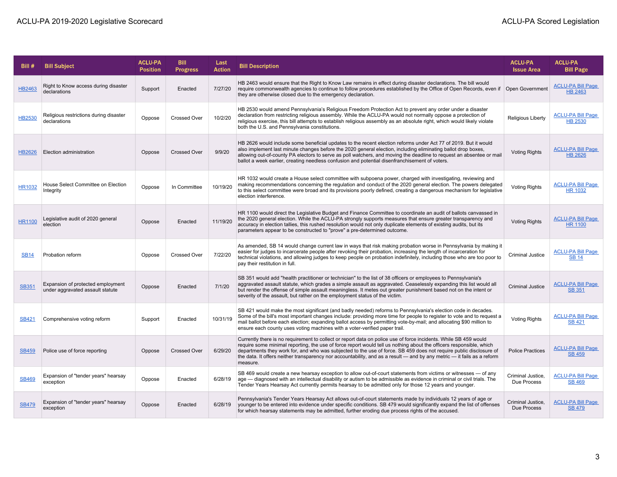| Bill#         | <b>Bill Subject</b>                                                   | <b>ACLU-PA</b><br><b>Position</b> | <b>Bill</b><br><b>Progress</b> | Last<br><b>Action</b> | <b>Bill Description</b>                                                                                                                                                                                                                                                                                                                                                                                                                                                                              | <b>ACLU-PA</b><br><b>Issue Area</b> | <b>ACLU-PA</b><br><b>Bill Page</b>         |
|---------------|-----------------------------------------------------------------------|-----------------------------------|--------------------------------|-----------------------|------------------------------------------------------------------------------------------------------------------------------------------------------------------------------------------------------------------------------------------------------------------------------------------------------------------------------------------------------------------------------------------------------------------------------------------------------------------------------------------------------|-------------------------------------|--------------------------------------------|
| HB2463        | Right to Know access during disaster<br>declarations                  | Support                           | Enacted                        | 7/27/20               | HB 2463 would ensure that the Right to Know Law remains in effect during disaster declarations. The bill would<br>require commonwealth agencies to continue to follow procedures established by the Office of Open Records, even if<br>they are otherwise closed due to the emergency declaration.                                                                                                                                                                                                   | Open Government                     | <b>ACLU-PA Bill Page</b><br><b>HB 2463</b> |
| <b>HB2530</b> | Religious restrictions during disaster<br>declarations                | Oppose                            | <b>Crossed Over</b>            | 10/2/20               | HB 2530 would amend Pennsylvania's Religious Freedom Protection Act to prevent any order under a disaster<br>declaration from restricting religious assembly. While the ACLU-PA would not normally oppose a protection of<br>religious exercise, this bill attempts to establish religious assembly as an absolute right, which would likely violate<br>both the U.S. and Pennsylvania constitutions.                                                                                                | <b>Religious Liberty</b>            | <b>ACLU-PA Bill Page</b><br><b>HB 2530</b> |
| HB2626        | Election administration                                               | Oppose                            | <b>Crossed Over</b>            | 9/9/20                | HB 2626 would include some beneficial updates to the recent election reforms under Act 77 of 2019. But it would<br>also implement last minute changes before the 2020 general election, including eliminating ballot drop boxes,<br>allowing out-of-county PA electors to serve as poll watchers, and moving the deadline to request an absentee or mail<br>ballot a week earlier, creating needless confusion and potential disenfranchisement of voters.                                           | <b>Voting Rights</b>                | <b>ACLU-PA Bill Page</b><br><b>HB 2626</b> |
| <b>HR1032</b> | House Select Committee on Election<br>Integrity                       | Oppose                            | In Committee                   | 10/19/20              | HR 1032 would create a House select committee with subpoena power, charged with investigating, reviewing and<br>making recommendations concerning the regulation and conduct of the 2020 general election. The powers delegated<br>to this select committee were broad and its provisions poorly defined, creating a dangerous mechanism for legislative<br>election interference.                                                                                                                   | <b>Voting Rights</b>                | <b>ACLU-PA Bill Page</b><br><b>HR 1032</b> |
| <b>HR1100</b> | Legislative audit of 2020 general<br>election                         | Oppose                            | Enacted                        | 11/19/20              | HR 1100 would direct the Legislative Budget and Finance Committee to coordinate an audit of ballots canvassed in<br>the 2020 general election. While the ACLU-PA strongly supports measures that ensure greater transparency and<br>accuracy in election tallies, this rushed resolution would not only duplicate elements of existing audits, but its<br>parameters appear to be constructed to "prove" a pre-determined outcome.                                                                   | <b>Voting Rights</b>                | <b>ACLU-PA Bill Page</b><br><b>HR 1100</b> |
| <b>SB14</b>   | Probation reform                                                      | Oppose                            | Crossed Over                   | 7/22/20               | As amended, SB 14 would change current law in ways that risk making probation worse in Pennsylvania by making it<br>easier for judges to incarcerate people after revoking their probation, increasing the length of incarceration for<br>technical violations, and allowing judges to keep people on probation indefinitely, including those who are too poor to<br>pay their restitution in full.                                                                                                  | <b>Criminal Justice</b>             | <b>ACLU-PA Bill Page</b><br><b>SB 14</b>   |
| <b>SB351</b>  | Expansion of protected employment<br>under aggravated assault statute | Oppose                            | Enacted                        | 7/1/20                | SB 351 would add "health practitioner or technician" to the list of 38 officers or employees to Pennsylvania's<br>aggravated assault statute, which grades a simple assault as aggravated. Ceaselessly expanding this list would all<br>but render the offense of simple assault meaningless. It metes out greater punishment based not on the intent or<br>severity of the assault, but rather on the employment status of the victim.                                                              | <b>Criminal Justice</b>             | <b>ACLU-PA Bill Page</b><br><b>SB 351</b>  |
| <b>SB421</b>  | Comprehensive voting reform                                           | Support                           | Enacted                        | 10/31/19              | SB 421 would make the most significant (and badly needed) reforms to Pennsylvania's election code in decades.<br>Some of the bill's most important changes include: providing more time for people to register to vote and to request a<br>mail ballot before each election; expanding ballot access by permitting vote-by-mail; and allocating \$90 million to<br>ensure each county uses voting machines with a voter-verified paper trail.                                                        | <b>Voting Rights</b>                | <b>ACLU-PA Bill Page</b><br><b>SB 421</b>  |
| <b>SB459</b>  | Police use of force reporting                                         | Oppose                            | <b>Crossed Over</b>            | 6/29/20               | Currently there is no requirement to collect or report data on police use of force incidents. While SB 459 would<br>require some minimal reporting, the use of force report would tell us nothing about the officers responsible, which<br>departments they work for, and who was subjected to the use of force. SB 459 does not require public disclosure of<br>the data. It offers neither transparency nor accountability, and as a result — and by any metric — it fails as a reform<br>measure. | <b>Police Practices</b>             | <b>ACLU-PA Bill Page</b><br><b>SB 459</b>  |
| <b>SB469</b>  | Expansion of "tender years" hearsay<br>exception                      | Oppose                            | Enacted                        | 6/28/19               | SB 469 would create a new hearsay exception to allow out-of-court statements from victims or witnesses - of any<br>age — diagnosed with an intellectual disability or autism to be admissible as evidence in criminal or civil trials. The<br>Tender Years Hearsay Act currently permits hearsay to be admitted only for those 12 years and younger.                                                                                                                                                 | Criminal Justice,<br>Due Process    | <b>ACLU-PA Bill Page</b><br><b>SB 469</b>  |
| <b>SB479</b>  | Expansion of "tender years" hearsay<br>exception                      | Oppose                            | Enacted                        | 6/28/19               | Pennsylvania's Tender Years Hearsay Act allows out-of-court statements made by individuals 12 years of age or<br>younger to be entered into evidence under specific conditions. SB 479 would significantly expand the list of offenses<br>for which hearsay statements may be admitted, further eroding due process rights of the accused.                                                                                                                                                           | Criminal Justice,<br>Due Process    | <b>ACLU-PA Bill Page</b><br><b>SB 479</b>  |